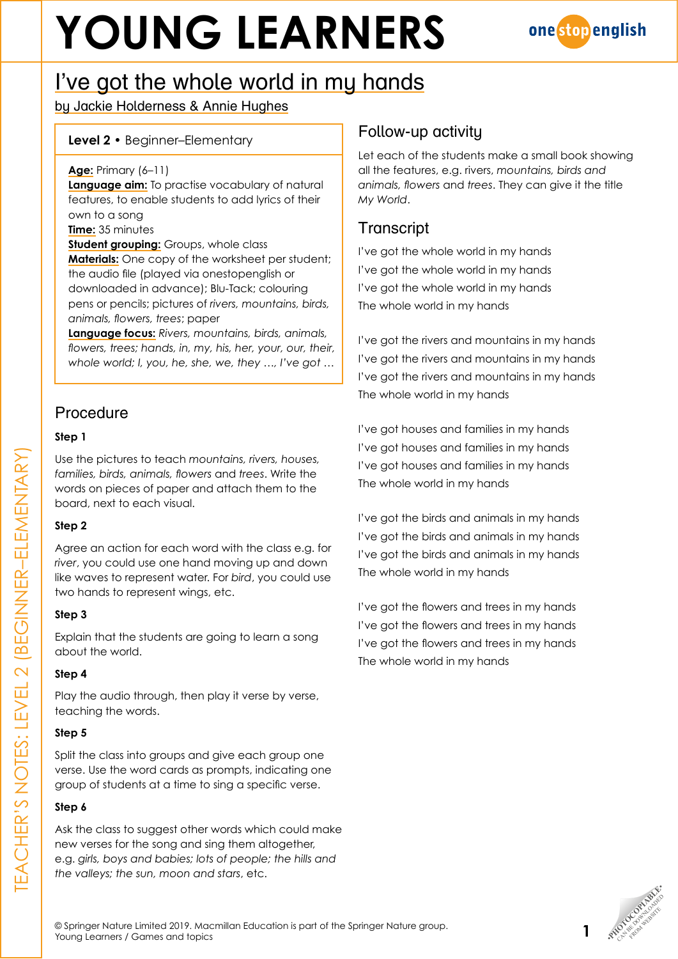# **YOUNG LEARNERS**



## I've got the whole world in my hands

by Jackie Holderness & Annie Hughes

#### **Level 2** • Beginner–Elementary

**Age:** Primary (6–11)

**Language aim:** To practise vocabulary of natural features, to enable students to add lyrics of their own to a song

**Time:** 35 minutes

**Student grouping:** Groups, whole class **Materials:** One copy of the worksheet per student; the audio file (played via onestopenglish or downloaded in advance); Blu-Tack; colouring pens or pencils; pictures of *rivers, mountains, birds, animals, flowers, trees*; paper

**Language focus:** *Rivers, mountains, birds, animals, flowers, trees; hands, in, my, his, her, your, our, their, whole world; I, you, he, she, we, they …, I've got …*

### **Procedure**

#### **Step 1**

Use the pictures to teach *mountains, rivers, houses, families, birds, animals, flowers* and *trees*. Write the words on pieces of paper and attach them to the board, next to each visual.

#### **Step 2**

Agree an action for each word with the class e.g. for *river*, you could use one hand moving up and down like waves to represent water. For *bird*, you could use two hands to represent wings, etc.

#### **Step 3**

Explain that the students are going to learn a song about the world.

#### **Step 4**

Play the audio through, then play it verse by verse, teaching the words.

#### **Step 5**

Split the class into groups and give each group one verse. Use the word cards as prompts, indicating one group of students at a time to sing a specific verse.

#### **Step 6**

Ask the class to suggest other words which could make new verses for the song and sing them altogether, e.g. *girls, boys and babies; lots of people; the hills and the valleys; the sun, moon and stars*, etc.

### Follow-up activity

Let each of the students make a small book showing all the features, e.g. rivers, *mountains, birds and animals, flowers* and *trees*. They can give it the title *My World*.

## **Transcript**

I've got the whole world in my hands I've got the whole world in my hands I've got the whole world in my hands The whole world in my hands

I've got the rivers and mountains in my hands I've got the rivers and mountains in my hands I've got the rivers and mountains in my hands The whole world in my hands

I've got houses and families in my hands I've got houses and families in my hands I've got houses and families in my hands The whole world in my hands

I've got the birds and animals in my hands I've got the birds and animals in my hands I've got the birds and animals in my hands The whole world in my hands

I've got the flowers and trees in my hands I've got the flowers and trees in my hands I've got the flowers and trees in my hands The whole world in my hands



© Springer Nature Limited 2019. Macmillan Education is part of the Springer Nature group. WE Springer Nature Limited 2019. Macmillan Education is part of the Springer Nature group.<br>Young Learners / Games and topics •<br>Poung Learners / Games and topics